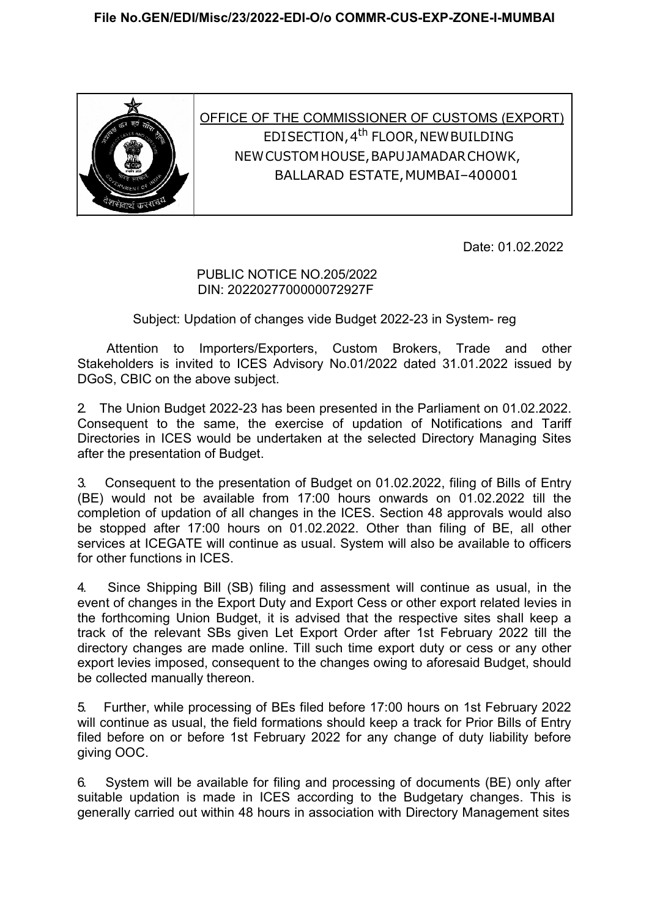

OFFICE OF THE COMMISSIONER OF CUSTOMS (EXPORT) EDI SECTION, 4th FLOOR, NEW BUILDING NEW CUSTOM HOUSE, BAPU JAMADAR CHOWK, BALLARAD ESTATE, MUMBAI–400001

Date: 01.02.2022

## PUBLIC NOTICE NO.205/2022 DIN: 2022027700000072927F

Subject: Updation of changes vide Budget 2022-23 in System- reg

Attention to Importers/Exporters, Custom Brokers, Trade and other Stakeholders is invited to ICES Advisory No.01/2022 dated 31.01.2022 issued by DGoS, CBIC on the above subject.

2. The Union Budget 2022-23 has been presented in the Parliament on 01.02.2022. Consequent to the same, the exercise of updation of Notifications and Tariff Directories in ICES would be undertaken at the selected Directory Managing Sites after the presentation of Budget.

3. Consequent to the presentation of Budget on 01.02.2022, filing of Bills of Entry (BE) would not be available from 17:00 hours onwards on 01.02.2022 till the completion of updation of all changes in the ICES. Section 48 approvals would also be stopped after 17:00 hours on 01.02.2022. Other than filing of BE, all other services at ICEGATE will continue as usual. System will also be available to officers for other functions in ICES.

4. Since Shipping Bill (SB) filing and assessment will continue as usual, in the event of changes in the Export Duty and Export Cess or other export related levies in the forthcoming Union Budget, it is advised that the respective sites shall keep a track of the relevant SBs given Let Export Order after 1st February 2022 till the directory changes are made online. Till such time export duty or cess or any other export levies imposed, consequent to the changes owing to aforesaid Budget, should be collected manually thereon.

5. Further, while processing of BEs filed before 17:00 hours on 1st February 2022 will continue as usual, the field formations should keep a track for Prior Bills of Entry filed before on or before 1st February 2022 for any change of duty liability before giving OOC.

6. System will be available for filing and processing of documents (BE) only after suitable updation is made in ICES according to the Budgetary changes. This is generally carried out within 48 hours in association with Directory Management sites